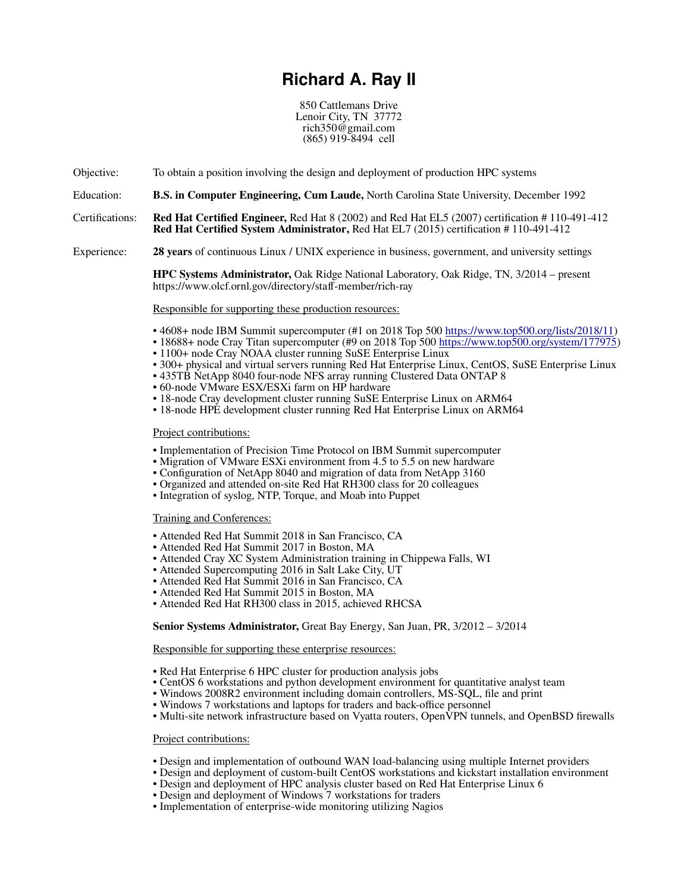# **Richard A. Ray II**

850 Cattlemans Drive Lenoir City, TN 37772 rich350@gmail.com (865) 919-8494 cell

Objective: To obtain a position involving the design and deployment of production HPC systems

Education: **B.S. in Computer Engineering, Cum Laude,** North Carolina State University, December 1992

Certifications: **Red Hat Certified Engineer,** Red Hat 8 (2002) and Red Hat EL5 (2007) certification # 110-491-412 **Red Hat Certified System Administrator,** Red Hat EL7 (2015) certification # 110-491-412

Experience: **28 years** of continuous Linux / UNIX experience in business, government, and university settings

**HPC Systems Administrator,** Oak Ridge National Laboratory, Oak Ridge, TN, 3/2014 – present https://www.olcf.ornl.gov/directory/staff-member/rich-ray

## Responsible for supporting these production resources:

- 4608+ node IBM Summit supercomputer (#1 on 2018 Top 500 [https://www.top500.org/lists/2018/11\)](https://www.top500.org/lists/2018/11)
- 18688+ node Cray Titan supercomputer (#9 on 2018 Top 500 [https://www.top500.org/system/177975\)](https://www.top500.org/system/177975)
- 1100+ node Cray NOAA cluster running SuSE Enterprise Linux
- 300+ physical and virtual servers running Red Hat Enterprise Linux, CentOS, SuSE Enterprise Linux
- 435TB NetApp 8040 four-node NFS array running Clustered Data ONTAP 8
- 60-node VMware ESX/ESXi farm on HP hardware
- 18-node Cray development cluster running SuSE Enterprise Linux on ARM64
- 18-node HPE development cluster running Red Hat Enterprise Linux on ARM64

## Project contributions:

- Implementation of Precision Time Protocol on IBM Summit supercomputer
- Migration of VMware ESXi environment from 4.5 to 5.5 on new hardware
- Configuration of NetApp 8040 and migration of data from NetApp 3160
- Organized and attended on-site Red Hat RH300 class for 20 colleagues
- Integration of syslog, NTP, Torque, and Moab into Puppet

Training and Conferences :

- Attended Red Hat Summit 2018 in San Francisco, CA
- Attended Red Hat Summit 2017 in Boston, MA
- Attended Cray XC System Administration training in Chippewa Falls, WI
- Attended Supercomputing 2016 in Salt Lake City, UT
- Attended Red Hat Summit 2016 in San Francisco, CA
- Attended Red Hat Summit 2015 in Boston, MA
- Attended Red Hat RH300 class in 2015, achieved RHCSA

## **Senior Systems Administrator,** Great Bay Energy, San Juan, PR, 3/2012 – 3/2014

# Responsible for supporting these enterprise resources:

- Red Hat Enterprise 6 HPC cluster for production analysis jobs
- CentOS 6 workstations and python development environment for quantitative analyst team
- Windows 2008R2 environment including domain controllers, MS-SQL, file and print
- Windows 7 workstations and laptops for traders and back-office personnel
- Multi-site network infrastructure based on Vyatta routers, OpenVPN tunnels, and OpenBSD firewalls

## Project contributions:

- Design and implementation of outbound WAN load-balancing using multiple Internet providers
- Design and deployment of custom-built CentOS workstations and kickstart installation environment
- Design and deployment of HPC analysis cluster based on Red Hat Enterprise Linux 6
- Design and deployment of Windows 7 workstations for traders
- Implementation of enterprise-wide monitoring utilizing Nagios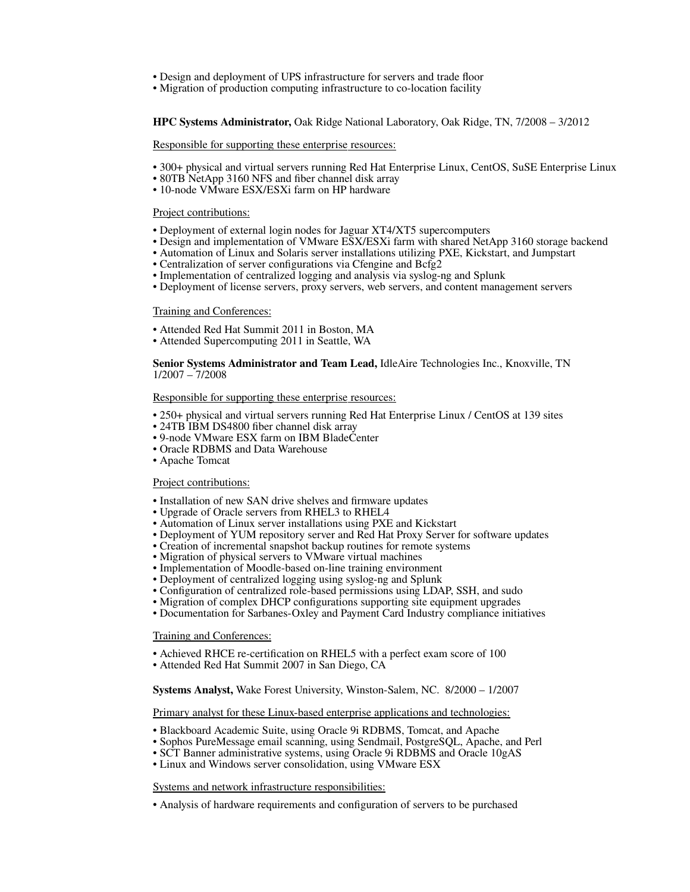- Design and deployment of UPS infrastructure for servers and trade floor
- Migration of production computing infrastructure to co-location facility

**HPC Systems Administrator,** Oak Ridge National Laboratory, Oak Ridge, TN, 7/2008 – 3/2012

Responsible for supporting these enterprise resources:

- 300+ physical and virtual servers running Red Hat Enterprise Linux, CentOS, SuSE Enterprise Linux
- 80TB NetApp 3160 NFS and fiber channel disk array
- 10-node VMware ESX/ESXi farm on HP hardware

Project contributions:

- Deployment of external login nodes for Jaguar XT4/XT5 supercomputers
- Design and implementation of VMware ESX/ESXi farm with shared NetApp 3160 storage backend
- Automation of Linux and Solaris server installations utilizing PXE, Kickstart, and Jumpstart
- Centralization of server configurations via Cfengine and Bcfg2
- Implementation of centralized logging and analysis via syslog-ng and Splunk
- Deployment of license servers, proxy servers, web servers, and content management servers

#### Training and Conferences :

- Attended Red Hat Summit 2011 in Boston, MA
- Attended Supercomputing 2011 in Seattle, WA

**Senior Systems Administrator and Team Lead,** IdleAire Technologies Inc., Knoxville, TN 1/2007 – 7/2008

#### Responsible for supporting these enterprise resources:

- 250+ physical and virtual servers running Red Hat Enterprise Linux / CentOS at 139 sites
- 24TB IBM DS4800 fiber channel disk array
- 9-node VMware ESX farm on IBM BladeCenter
- Oracle RDBMS and Data Warehouse
- Apache Tomcat

# Project contributions:

- Installation of new SAN drive shelves and firmware updates
- Upgrade of Oracle servers from RHEL3 to RHEL4
- Automation of Linux server installations using PXE and Kickstart
- Deployment of YUM repository server and Red Hat Proxy Server for software updates
- Creation of incremental snapshot backup routines for remote systems
- Migration of physical servers to VMware virtual machines
- Implementation of Moodle-based on-line training environment
- Deployment of centralized logging using syslog-ng and Splunk
- Configuration of centralized role-based permissions using LDAP, SSH, and sudo
- Migration of complex DHCP configurations supporting site equipment upgrades
- Documentation for Sarbanes-Oxley and Payment Card Industry compliance initiatives

#### Training and Conferences:

- Achieved RHCE re-certification on RHEL5 with a perfect exam score of 100
- Attended Red Hat Summit 2007 in San Diego, CA

**Systems Analyst,** Wake Forest University, Winston-Salem, NC. 8/2000 – 1/2007

#### Primary analyst for these Linux-based enterprise applications and technologies:

- Blackboard Academic Suite, using Oracle 9i RDBMS, Tomcat, and Apache
- Sophos PureMessage email scanning, using Sendmail, PostgreSQL, Apache, and Perl
- SCT Banner administrative systems, using Oracle 9i RDBMS and Oracle 10gAS
- Linux and Windows server consolidation, using VMware ESX

#### Systems and network infrastructure responsibilities:

• Analysis of hardware requirements and configuration of servers to be purchased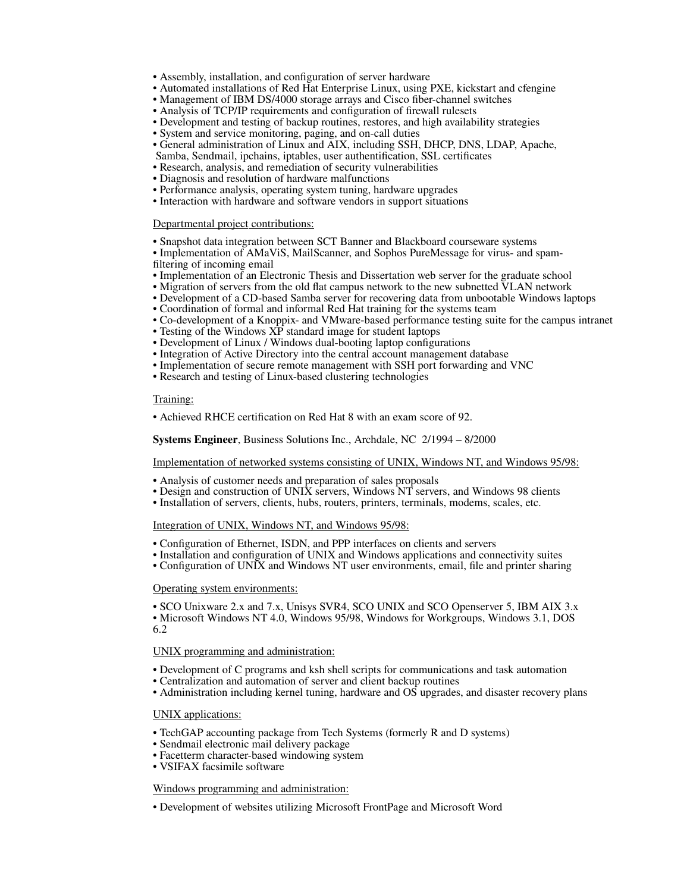- Assembly, installation, and configuration of server hardware
- Automated installations of Red Hat Enterprise Linux, using PXE, kickstart and cfengine
- Management of IBM DS/4000 storage arrays and Cisco fiber-channel switches
- Analysis of TCP/IP requirements and configuration of firewall rulesets
- Development and testing of backup routines, restores, and high availability strategies
- System and service monitoring, paging, and on-call duties
- General administration of Linux and AIX, including SSH, DHCP, DNS, LDAP, Apache,
- Samba, Sendmail, ipchains, iptables, user authentification, SSL certificates
- Research, analysis, and remediation of security vulnerabilities
- Diagnosis and resolution of hardware malfunctions
- Performance analysis, operating system tuning, hardware upgrades • Interaction with hardware and software vendors in support situations

# Departmental project contributions:

- Snapshot data integration between SCT Banner and Blackboard courseware systems
- Implementation of AMaViS, MailScanner, and Sophos PureMessage for virus- and spamfiltering of incoming email
- Implementation of an Electronic Thesis and Dissertation web server for the graduate school
- Migration of servers from the old flat campus network to the new subnetted VLAN network
- Development of a CD-based Samba server for recovering data from unbootable Windows laptops
- Coordination of formal and informal Red Hat training for the systems team
- Co-development of a Knoppix- and VMware-based performance testing suite for the campus intranet
- Testing of the Windows XP standard image for student laptops
- Development of Linux / Windows dual-booting laptop configurations
- Integration of Active Directory into the central account management database
- Implementation of secure remote management with SSH port forwarding and VNC
- Research and testing of Linux-based clustering technologies

#### Training:

• Achieved RHCE certification on Red Hat 8 with an exam score of 92.

**Systems Engineer**, Business Solutions Inc., Archdale, NC 2/1994 – 8/2000

Implementation of networked systems consisting of UNIX, Windows NT, and Windows 95/98:

- Analysis of customer needs and preparation of sales proposals
- Design and construction of UNIX servers, Windows NT servers, and Windows 98 clients
- Installation of servers, clients, hubs, routers, printers, terminals, modems, scales, etc.

## Integration of UNIX, Windows NT, and Windows 95/98:

- Configuration of Ethernet, ISDN, and PPP interfaces on clients and servers
- Installation and configuration of UNIX and Windows applications and connectivity suites
- Configuration of UNIX and Windows NT user environments, email, file and printer sharing

# Operating system environments:

• SCO Unixware 2.x and 7.x, Unisys SVR4, SCO UNIX and SCO Openserver 5, IBM AIX 3.x • Microsoft Windows NT 4.0, Windows 95/98, Windows for Workgroups, Windows 3.1, DOS 6.2

## UNIX programming and administration:

- Development of C programs and ksh shell scripts for communications and task automation
- Centralization and automation of server and client backup routines
- Administration including kernel tuning, hardware and OS upgrades, and disaster recovery plans

# UNIX applications:

- TechGAP accounting package from Tech Systems (formerly R and D systems)
- Sendmail electronic mail delivery package
- Facetterm character-based windowing system
- VSIFAX facsimile software

# Windows programming and administration:

• Development of websites utilizing Microsoft FrontPage and Microsoft Word